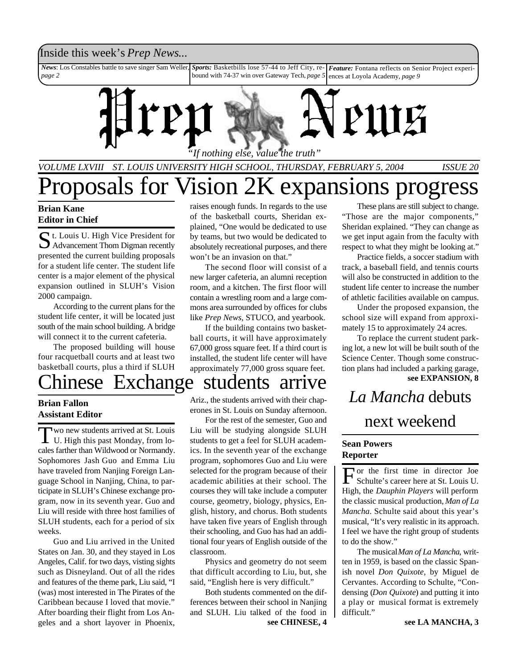### Inside this week's *Prep News*...

*News*: Los Constables battle to save singer Sam Weller, *page 2 Sports:* Basketbills lose 57-44 to Jeff City, re-*Feature:* Fontana reflects on Senior Project experibound with 74-37 win over Gateway Tech, *page 5* ences at Loyola Academy, *page 9*



*"If nothing else, value the truth"*

*VOLUME LXVIII ST. LOUIS UNIVERSITY HIGH SCHOOL, THURSDAY, FEBRUARY 5, 2004 ISSUE 20*

# prosals for Vision 2K expansions progress

### **Brian Kane Editor in Chief**

St. Louis U. High Vice President for<br>Advancement Thom Digman recently t. Louis U. High Vice President for presented the current building proposals for a student life center. The student life center is a major element of the physical expansion outlined in SLUH's Vision 2000 campaign.

According to the current plans for the student life center, it will be located just south of the main school building. A bridge will connect it to the current cafeteria.

The proposed building will house four racquetball courts and at least two basketball courts, plus a third if SLUH

## hinese Exchange students arrive

### **Brian Fallon Assistant Editor**

Two new students arrived at St. Louis<br>U. High this past Monday, from lowo new students arrived at St. Louis cales farther than Wildwood or Normandy. Sophomores Jash Guo and Emma Liu have traveled from Nanjing Foreign Language School in Nanjing, China, to participate in SLUH's Chinese exchange program, now in its seventh year. Guo and Liu will reside with three host families of SLUH students, each for a period of six weeks.

Guo and Liu arrived in the United States on Jan. 30, and they stayed in Los Angeles, Calif. for two days, visting sights such as Disneyland. Out of all the rides and features of the theme park, Liu said, "I (was) most interested in The Pirates of the Caribbean because I loved that movie." After boarding their flight from Los Angeles and a short layover in Phoenix,

raises enough funds. In regards to the use of the basketball courts, Sheridan explained, "One would be dedicated to use by teams, but two would be dedicated to absolutely recreational purposes, and there won't be an invasion on that."

The second floor will consist of a new larger cafeteria, an alumni reception room, and a kitchen. The first floor will contain a wrestling room and a large commons area surrounded by offices for clubs like *Prep News*, STUCO, and yearbook.

If the building contains two basketball courts, it will have approximately 67,000 gross square feet. If a third court is installed, the student life center will have approximately 77,000 gross square feet.

## Ariz., the students arrived with their chap-

erones in St. Louis on Sunday afternoon.

For the rest of the semester, Guo and Liu will be studying alongside SLUH students to get a feel for SLUH academics. In the seventh year of the exchange program, sophomores Guo and Liu were selected for the program because of their academic abilities at their school. The courses they will take include a computer course, geometry, biology, physics, English, history, and chorus. Both students have taken five years of English through their schooling, and Guo has had an additional four years of English outside of the classroom.

Physics and geometry do not seem that difficult according to Liu, but, she said, "English here is very difficult."

Both students commented on the differences between their school in Nanjing and SLUH. Liu talked of the food in **see CHINESE, 4**

These plans are still subject to change. "Those are the major components," Sheridan explained. "They can change as we get input again from the faculty with respect to what they might be looking at."

Practice fields, a soccer stadium with track, a baseball field, and tennis courts will also be constructed in addition to the student life center to increase the number of athletic facilities available on campus.

Under the proposed expansion, the school size will expand from approximately 15 to approximately 24 acres.

**see EXPANSION, 8** To replace the current student parking lot, a new lot will be built south of the Science Center. Though some construction plans had included a parking garage,

## *La Mancha* debuts next weekend

## **Sean Powers**

to do the show."

**Reporter** For the first time in director Joe<br>Schulte's career here at St. Louis U. Schulte's career here at St. Louis U. High, the *Dauphin Players* will perform the classic musical production, *Man of La Mancha*. Schulte said about this year's musical, "It's very realistic in its approach. I feel we have the right group of students

The musical *Man of La Mancha*, written in 1959, is based on the classic Spanish novel *Don Quixote,* by Miguel de Cervantes. According to Schulte, "Condensing (*Don Quixote*) and putting it into a play or musical format is extremely difficult."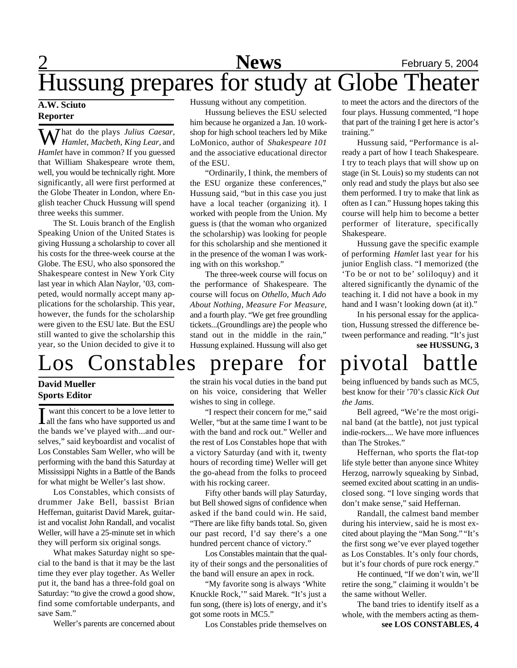## 2 **News** February 5, 2004 Hussung prepares for study at Globe Theater

### **A.W. Sciuto Reporter**

*That do the plays Julius Caesar, Hamlet, Macbeth, King Lear,* and *Hamlet* have in common? If you guessed that William Shakespeare wrote them, well, you would be technically right. More significantly, all were first performed at the Globe Theater in London, where English teacher Chuck Hussung will spend three weeks this summer.

The St. Louis branch of the English Speaking Union of the United States is giving Hussung a scholarship to cover all his costs for the three-week course at the Globe. The ESU, who also sponsored the Shakespeare contest in New York City last year in which Alan Naylor, '03, competed, would normally accept many applications for the scholarship. This year, however, the funds for the scholarship were given to the ESU late. But the ESU still wanted to give the scholarship this year, so the Union decided to give it to

## os Constables prepare for pivotal battle

### **David Mueller Sports Editor**

I want this concert to be a love letter to all the fans who have supported us and want this concert to be a love letter to the bands we've played with...and ourselves," said keyboardist and vocalist of Los Constables Sam Weller, who will be performing with the band this Saturday at Mississippi Nights in a Battle of the Bands for what might be Weller's last show.

Los Constables, which consists of drummer Jake Bell, bassist Brian Heffernan, guitarist David Marek, guitarist and vocalist John Randall, and vocalist Weller, will have a 25-minute set in which they will perform six original songs.

What makes Saturday night so special to the band is that it may be the last time they ever play together. As Weller put it, the band has a three-fold goal on Saturday: "to give the crowd a good show, find some comfortable underpants, and save Sam."

Weller's parents are concerned about

Hussung without any competition.

Hussung believes the ESU selected him because he organized a Jan. 10 workshop for high school teachers led by Mike LoMonico, author of *Shakespeare 101* and the associative educational director of the ESU.

"Ordinarily, I think, the members of the ESU organize these conferences," Hussung said, "but in this case you just have a local teacher (organizing it). I worked with people from the Union. My guess is (that the woman who organized the scholarship) was looking for people for this scholarship and she mentioned it in the presence of the woman I was working with on this workshop."

The three-week course will focus on the performance of Shakespeare. The course will focus on *Othello, Much Ado About Nothing, Measure For Measure*, and a fourth play. "We get free groundling tickets...(Groundlings are) the people who stand out in the middle in the rain," Hussung explained. Hussung will also get

the strain his vocal duties in the band put on his voice, considering that Weller wishes to sing in college.

"I respect their concern for me," said Weller, "but at the same time I want to be with the band and rock out." Weller and the rest of Los Constables hope that with a victory Saturday (and with it, twenty hours of recording time) Weller will get the go-ahead from the folks to proceed with his rocking career.

Fifty other bands will play Saturday, but Bell showed signs of confidence when asked if the band could win. He said, "There are like fifty bands total. So, given our past record, I'd say there's a one hundred percent chance of victory."

Los Constables maintain that the quality of their songs and the personalities of the band will ensure an apex in rock.

"My favorite song is always 'White Knuckle Rock,'" said Marek. "It's just a fun song, (there is) lots of energy, and it's got some roots in MC5."

Los Constables pride themselves on

to meet the actors and the directors of the four plays. Hussung commented, "I hope that part of the training I get here is actor's training."

Hussung said, "Performance is already a part of how I teach Shakespeare. I try to teach plays that will show up on stage (in St. Louis) so my students can not only read and study the plays but also see them performed. I try to make that link as often as I can." Hussung hopes taking this course will help him to become a better performer of literature, specifically Shakespeare.

Hussung gave the specific example of performing *Hamlet* last year for his junior English class. "I memorized (the 'To be or not to be' soliloquy) and it altered significantly the dynamic of the teaching it. I did not have a book in my hand and I wasn't looking down (at it)."

In his personal essay for the application, Hussung stressed the difference between performance and reading. "It's just **see HUSSUNG, 3**

being influenced by bands such as MC5, best know for their '70's classic *Kick Out the Jams*.

Bell agreed, "We're the most original band (at the battle), not just typical indie-rockers.... We have more influences than The Strokes."

Heffernan, who sports the flat-top life style better than anyone since Whitey Herzog, narrowly squeaking by Sinbad, seemed excited about scatting in an undisclosed song. "I love singing words that don't make sense," said Heffernan.

Randall, the calmest band member during his interview, said he is most excited about playing the "Man Song." "It's the first song we've ever played together as Los Constables. It's only four chords, but it's four chords of pure rock energy."

He continued, "If we don't win, we'll retire the song," claiming it wouldn't be the same without Weller.

**see LOS CONSTABLES, 4** The band tries to identify itself as a whole, with the members acting as them-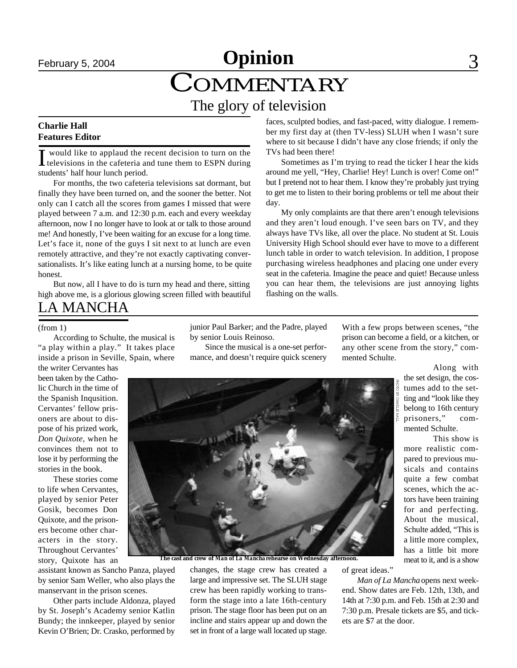## February 5, 2004 **Christian Community Community 3** COMMENTARY **Opinion** The glory of television

### **Charlie Hall Features Editor**

I would like to applaud the recent decision to turn on the televisions in the cafeteria and tune them to ESPN during would like to applaud the recent decision to turn on the students' half hour lunch period.

For months, the two cafeteria televisions sat dormant, but finally they have been turned on, and the sooner the better. Not only can I catch all the scores from games I missed that were played between 7 a.m. and 12:30 p.m. each and every weekday afternoon, now I no longer have to look at or talk to those around me! And honestly, I've been waiting for an excuse for a long time. Let's face it, none of the guys I sit next to at lunch are even remotely attractive, and they're not exactly captivating conversationalists. It's like eating lunch at a nursing home, to be quite honest.

But now, all I have to do is turn my head and there, sitting high above me, is a glorious glowing screen filled with beautiful faces, sculpted bodies, and fast-paced, witty dialogue. I remember my first day at (then TV-less) SLUH when I wasn't sure where to sit because I didn't have any close friends; if only the TVs had been there!

Sometimes as I'm trying to read the ticker I hear the kids around me yell, "Hey, Charlie! Hey! Lunch is over! Come on!" but I pretend not to hear them. I know they're probably just trying to get me to listen to their boring problems or tell me about their day.

My only complaints are that there aren't enough televisions and they aren't loud enough. I've seen bars on TV, and they always have TVs like, all over the place. No student at St. Louis University High School should ever have to move to a different lunch table in order to watch television. In addition, I propose purchasing wireless headphones and placing one under every seat in the cafeteria. Imagine the peace and quiet! Because unless you can hear them, the televisions are just annoying lights flashing on the walls.

## LA MANCHA

#### (from 1)

According to Schulte, the musical is "a play within a play." It takes place inside a prison in Seville, Spain, where

the writer Cervantes has been taken by the Catholic Church in the time of the Spanish Inqusition. Cervantes' fellow prisoners are about to dispose of his prized work, *Don Quixote*, when he convinces them not to lose it by performing the stories in the book.

These stories come to life when Cervantes, played by senior Peter Gosik, becomes Don Quixote, and the prisoners become other characters in the story. Throughout Cervantes' story, Quixote has an

assistant known as Sancho Panza, played by senior Sam Weller, who also plays the manservant in the prison scenes.

Other parts include Aldonza, played by St. Joseph's Academy senior Katlin Bundy; the innkeeper, played by senior Kevin O'Brien; Dr. Crasko, performed by junior Paul Barker; and the Padre, played by senior Louis Reinoso.

Since the musical is a one-set performance, and doesn't require quick scenery

With a few props between scenes, "the prison can become a field, or a kitchen, or any other scene from the story," commented Schulte.

> Along with the set design, the costumes add to the setting and "look like they belong to 16th century prisoners," commented Schulte.

This show is more realistic compared to previous musicals and contains quite a few combat scenes, which the actors have been training for and perfecting. About the musical, Schulte added, "This is a little more complex, has a little bit more meat to it, and is a show

**The cast and crew of** *Man of La Mancha* **rehearse on Wednesday afternoon.**

changes, the stage crew has created a large and impressive set. The SLUH stage crew has been rapidly working to transform the stage into a late 16th-century prison. The stage floor has been put on an incline and stairs appear up and down the set in front of a large wall located up stage.

of great ideas."

*Man of La Mancha* opens next weekend. Show dates are Feb. 12th, 13th, and 14th at 7:30 p.m. and Feb. 15th at 2:30 and 7:30 p.m. Presale tickets are \$5, and tickets are \$7 at the door.

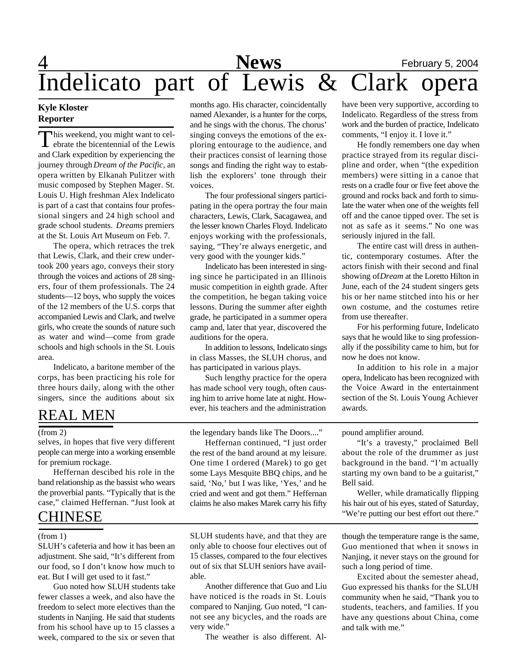## 4 **News** February 5, 2004 Indelicato part of Lewis & Clark opera

### **Kyle Kloster Reporter**

This weekend, you might want to cel-<br>ebrate the bicentennial of the Lewis his weekend, you might want to celand Clark expedition by experiencing the journey through *Dream of the Pacific*, an opera written by Elkanah Pulitzer with music composed by Stephen Mager. St. Louis U. High freshman Alex Indelicato is part of a cast that contains four professional singers and 24 high school and grade school students. *Dreams* premiers at the St. Louis Art Museum on Feb. 7.

The opera, which retraces the trek that Lewis, Clark, and their crew undertook 200 years ago, conveys their story through the voices and actions of 28 singers, four of them professionals. The 24 students—12 boys, who supply the voices of the 12 members of the U.S. corps that accompanied Lewis and Clark, and twelve girls, who create the sounds of nature such as water and wind—come from grade schools and high schools in the St. Louis area.

Indelicato, a baritone member of the corps, has been practicing his role for three hours daily, along with the other singers, since the auditions about six

## REAL MEN

selves, in hopes that five very different people can merge into a working ensemble for premium rockage.

Heffernan descibed his role in the band relationship as the bassist who wears the proverbial pants. "Typically that is the case," claimed Heffernan. "Just look at

## CHINESE

#### (from 1)

SLUH's cafeteria and how it has been an adjustment. She said, "It's different from our food, so I don't know how much to eat. But I will get used to it fast."

Guo noted how SLUH students take fewer classes a week, and also have the freedom to select more electives than the students in Nanjing. He said that students from his school have up to 15 classes a week, compared to the six or seven that

months ago. His character, coincidentally named Alexander, is a hunter for the corps, and he sings with the chorus. The chorus' singing conveys the emotions of the exploring entourage to the audience, and their practices consist of learning those songs and finding the right way to establish the explorers' tone through their voices.

The four professional singers participating in the opera portray the four main characters, Lewis, Clark, Sacagawea, and the lesser known Charles Floyd. Indelicato enjoys working with the professionals, saying, "They're always energetic, and very good with the younger kids."

Indelicato has been interested in singing since he participated in an Illinois music competition in eighth grade. After the competition, he began taking voice lessons. During the summer after eighth grade, he participated in a summer opera camp and, later that year, discovered the auditions for the opera.

In addition to lessons, Indelicato sings in class Masses, the SLUH chorus, and has participated in various plays.

Such lengthy practice for the opera has made school very tough, often causing him to arrive home late at night. However, his teachers and the administration

(from 2) the legendary bands like The Doors...."

Heffernan continued, "I just order the rest of the band around at my leisure. One time I ordered (Marek) to go get some Lays Mesquite BBQ chips, and he said, 'No,' but I was like, 'Yes,' and he cried and went and got them." Heffernan claims he also makes Marek carry his fifty

SLUH students have, and that they are only able to choose four electives out of 15 classes, compared to the four electives out of six that SLUH seniors have available.

Another difference that Guo and Liu have noticed is the roads in St. Louis compared to Nanjing. Guo noted, "I cannot see any bicycles, and the roads are very wide."

The weather is also different. Al-

have been very supportive, according to Indelicato. Regardless of the stress from work and the burden of practice, Indelicato comments, "I enjoy it. I love it."

He fondly remembers one day when practice strayed from its regular discipline and order, when "(the expedition members) were sitting in a canoe that rests on a cradle four or five feet above the ground and rocks back and forth to simulate the water when one of the weights fell off and the canoe tipped over. The set is not as safe as it seems." No one was seriously injured in the fall.

The entire cast will dress in authentic, contemporary costumes. After the actors finish with their second and final showing of *Dream* at the Loretto Hilton in June, each of the 24 student singers gets his or her name stitched into his or her own costume, and the costumes retire from use thereafter.

For his performing future, Indelicato says that he would like to sing professionally if the possibility came to him, but for now he does not know.

In addition to his role in a major opera, Indelicato has been recognized with the Voice Award in the entertainment section of the St. Louis Young Achiever awards.

pound amplifier around.

"It's a travesty," proclaimed Bell about the role of the drummer as just background in the band. "I'm actually starting my own band to be a guitarist," Bell said.

Weller, while dramatically flipping his hair out of his eyes, stated of Saturday, "We're putting our best effort out there."

though the temperature range is the same, Guo mentioned that when it snows in Nanjing, it never stays on the ground for such a long period of time.

Excited about the semester ahead, Guo expressed his thanks for the SLUH community when he said, "Thank you to students, teachers, and families. If you have any questions about China, come and talk with me."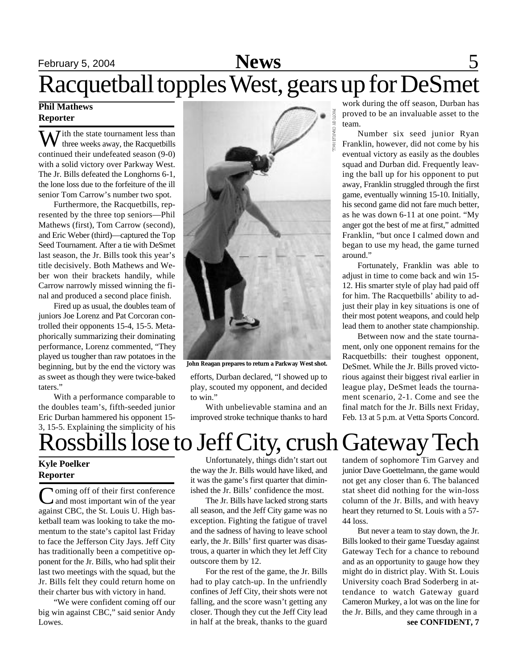## February 5, 2004 **News** 5 Racquetball topples West, gears up for DeSmet

## **Phil Mathews Reporter**

 $\sum$  *T* ith the state tournament less than three weeks away, the Racquetbills continued their undefeated season (9-0) with a solid victory over Parkway West. The Jr. Bills defeated the Longhorns 6-1, the lone loss due to the forfeiture of the ill senior Tom Carrow's number two spot.

Furthermore, the Racquetbills, represented by the three top seniors—Phil Mathews (first), Tom Carrow (second), and Eric Weber (third)—captured the Top Seed Tournament. After a tie with DeSmet last season, the Jr. Bills took this year's title decisively. Both Mathews and Weber won their brackets handily, while Carrow narrowly missed winning the final and produced a second place finish.

Fired up as usual, the doubles team of juniors Joe Lorenz and Pat Corcoran controlled their opponents 15-4, 15-5. Metaphorically summarizing their dominating performance, Lorenz commented, "They played us tougher than raw potatoes in the beginning, but by the end the victory was as sweet as though they were twice-baked taters."

With a performance comparable to the doubles team's, fifth-seeded junior Eric Durban hammered his opponent 15- 3, 15-5. Explaining the simplicity of his



**John Reagan prepares to return a Parkway West shot.**

efforts, Durban declared, "I showed up to play, scouted my opponent, and decided to win"

With unbelievable stamina and an improved stroke technique thanks to hard work during the off season, Durban has proved to be an invaluable asset to the team.

Number six seed junior Ryan Franklin, however, did not come by his eventual victory as easily as the doubles squad and Durban did. Frequently leaving the ball up for his opponent to put away, Franklin struggled through the first game, eventually winning 15-10. Initially, his second game did not fare much better, as he was down 6-11 at one point. "My anger got the best of me at first," admitted Franklin, "but once I calmed down and began to use my head, the game turned around."

Fortunately, Franklin was able to adjust in time to come back and win 15- 12. His smarter style of play had paid off for him. The Racquetbills' ability to adjust their play in key situations is one of their most potent weapons, and could help lead them to another state championship.

Between now and the state tournament, only one opponent remains for the Racquetbills: their toughest opponent, DeSmet. While the Jr. Bills proved victorious against their biggest rival earlier in league play, DeSmet leads the tournament scenario, 2-1. Come and see the final match for the Jr. Bills next Friday, Feb. 13 at 5 p.m. at Vetta Sports Concord.

# Rossbills lose to Jeff City, crush Gateway Tech

## **Kyle Poelker Reporter**

Coming off of their first conference<br>
and most important win of the year **Ioming off of their first conference** against CBC, the St. Louis U. High basketball team was looking to take the momentum to the state's capitol last Friday to face the Jefferson City Jays. Jeff City has traditionally been a competitive opponent for the Jr. Bills, who had split their last two meetings with the squad, but the Jr. Bills felt they could return home on their charter bus with victory in hand.

"We were confident coming off our big win against CBC," said senior Andy Lowes.

Unfortunately, things didn't start out the way the Jr. Bills would have liked, and it was the game's first quarter that diminished the Jr. Bills' confidence the most.

The Jr. Bills have lacked strong starts all season, and the Jeff City game was no exception. Fighting the fatigue of travel and the sadness of having to leave school early, the Jr. Bills' first quarter was disastrous, a quarter in which they let Jeff City outscore them by 12.

For the rest of the game, the Jr. Bills had to play catch-up. In the unfriendly confines of Jeff City, their shots were not falling, and the score wasn't getting any closer. Though they cut the Jeff City lead in half at the break, thanks to the guard

tandem of sophomore Tim Garvey and junior Dave Goettelmann, the game would not get any closer than 6. The balanced stat sheet did nothing for the win-loss column of the Jr. Bills, and with heavy heart they returned to St. Louis with a 57- 44 loss.

But never a team to stay down, the Jr. Bills looked to their game Tuesday against Gateway Tech for a chance to rebound and as an opportunity to gauge how they might do in district play. With St. Louis University coach Brad Soderberg in attendance to watch Gateway guard Cameron Murkey, a lot was on the line for the Jr. Bills, and they came through in a **see CONFIDENT, 7**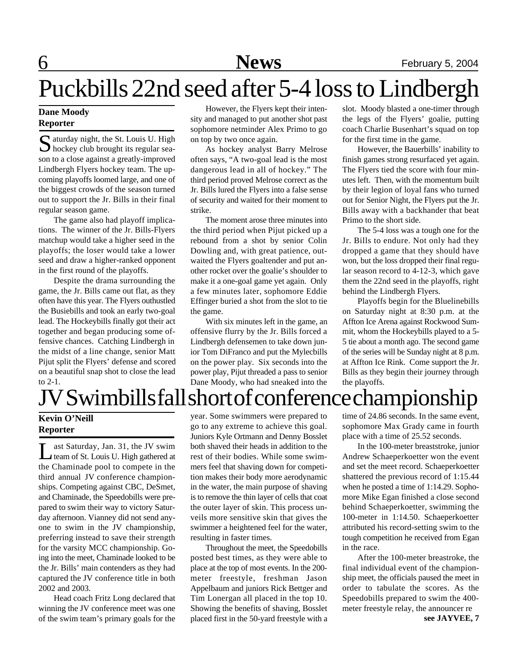# Puckbills 22nd seed after 5-4 loss to Lindbergh

## **Dane Moody Reporter**

 $S$  aturday night, the St. Louis U. High<br>hockey club brought its regular sea- $\sum$  hockey club brought its regular season to a close against a greatly-improved Lindbergh Flyers hockey team. The upcoming playoffs loomed large, and one of the biggest crowds of the season turned out to support the Jr. Bills in their final regular season game.

The game also had playoff implications. The winner of the Jr. Bills-Flyers matchup would take a higher seed in the playoffs; the loser would take a lower seed and draw a higher-ranked opponent in the first round of the playoffs.

Despite the drama surrounding the game, the Jr. Bills came out flat, as they often have this year. The Flyers outhustled the Busiebills and took an early two-goal lead. The Hockeybills finally got their act together and began producing some offensive chances. Catching Lindbergh in the midst of a line change, senior Matt Pijut split the Flyers' defense and scored on a beautiful snap shot to close the lead to 2-1.

However, the Flyers kept their intensity and managed to put another shot past sophomore netminder Alex Primo to go on top by two once again.

As hockey analyst Barry Melrose often says, "A two-goal lead is the most dangerous lead in all of hockey." The third period proved Melrose correct as the Jr. Bills lured the Flyers into a false sense of security and waited for their moment to strike.

The moment arose three minutes into the third period when Pijut picked up a rebound from a shot by senior Colin Dowling and, with great patience, outwaited the Flyers goaltender and put another rocket over the goalie's shoulder to make it a one-goal game yet again. Only a few minutes later, sophomore Eddie Effinger buried a shot from the slot to tie the game.

With six minutes left in the game, an offensive flurry by the Jr. Bills forced a Lindbergh defensemen to take down junior Tom DiFranco and put the Mylecbills on the power play. Six seconds into the power play, Pijut threaded a pass to senior Dane Moody, who had sneaked into the

slot. Moody blasted a one-timer through the legs of the Flyers' goalie, putting coach Charlie Busenhart's squad on top for the first time in the game.

However, the Bauerbills' inability to finish games strong resurfaced yet again. The Flyers tied the score with four minutes left. Then, with the momentum built by their legion of loyal fans who turned out for Senior Night, the Flyers put the Jr. Bills away with a backhander that beat Primo to the short side.

The 5-4 loss was a tough one for the Jr. Bills to endure. Not only had they dropped a game that they should have won, but the loss dropped their final regular season record to 4-12-3, which gave them the 22nd seed in the playoffs, right behind the Lindbergh Flyers.

Playoffs begin for the Bluelinebills on Saturday night at 8:30 p.m. at the Affton Ice Arena against Rockwood Summit, whom the Hockeybills played to a 5- 5 tie about a month ago. The second game of the series will be Sunday night at 8 p.m. at Affton Ice Rink. Come support the Jr. Bills as they begin their journey through the playoffs.

# JV Swimbills fall short of conference championship

## **Kevin O'Neill Reporter**

Let a Saturday, Jan. 31, the JV swim<br>team of St. Louis U. High gathered at ast Saturday, Jan. 31, the JV swim the Chaminade pool to compete in the third annual JV conference championships. Competing against CBC, DeSmet, and Chaminade, the Speedobills were prepared to swim their way to victory Saturday afternoon. Vianney did not send anyone to swim in the JV championship, preferring instead to save their strength for the varsity MCC championship. Going into the meet, Chaminade looked to be the Jr. Bills' main contenders as they had captured the JV conference title in both 2002 and 2003.

Head coach Fritz Long declared that winning the JV conference meet was one of the swim team's primary goals for the

year. Some swimmers were prepared to go to any extreme to achieve this goal. Juniors Kyle Ortmann and Denny Bosslet both shaved their heads in addition to the rest of their bodies. While some swimmers feel that shaving down for competition makes their body more aerodynamic in the water, the main purpose of shaving is to remove the thin layer of cells that coat the outer layer of skin. This process unveils more sensitive skin that gives the swimmer a heightened feel for the water, resulting in faster times.

Throughout the meet, the Speedobills posted best times, as they were able to place at the top of most events. In the 200 meter freestyle, freshman Jason Appelbaum and juniors Rick Bettger and Tim Lonergan all placed in the top 10. Showing the benefits of shaving, Bosslet placed first in the 50-yard freestyle with a time of 24.86 seconds. In the same event, sophomore Max Grady came in fourth place with a time of 25.52 seconds.

In the 100-meter breaststroke, junior Andrew Schaeperkoetter won the event and set the meet record. Schaeperkoetter shattered the previous record of 1:15.44 when he posted a time of 1:14.29. Sophomore Mike Egan finished a close second behind Schaeperkoetter, swimming the 100-meter in 1:14.50. Schaeperkoetter attributed his record-setting swim to the tough competition he received from Egan in the race.

After the 100-meter breastroke, the final individual event of the championship meet, the officials paused the meet in order to tabulate the scores. As the Speedobills prepared to swim the 400 meter freestyle relay, the announcer re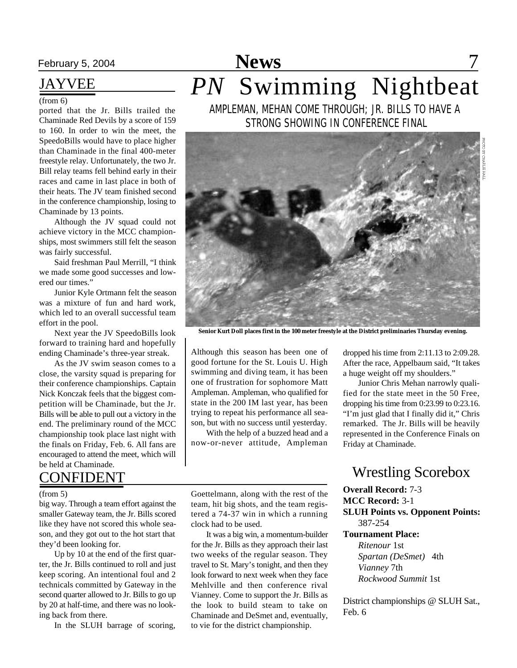## JAYVEE

#### (from 6)

ported that the Jr. Bills trailed the Chaminade Red Devils by a score of 159 to 160. In order to win the meet, the SpeedoBills would have to place higher than Chaminade in the final 400-meter freestyle relay. Unfortunately, the two Jr. Bill relay teams fell behind early in their races and came in last place in both of their heats. The JV team finished second in the conference championship, losing to Chaminade by 13 points.

Although the JV squad could not achieve victory in the MCC championships, most swimmers still felt the season was fairly successful.

Said freshman Paul Merrill, "I think we made some good successes and lowered our times."

Junior Kyle Ortmann felt the season was a mixture of fun and hard work, which led to an overall successful team effort in the pool.

Next year the JV SpeedoBills look forward to training hard and hopefully ending Chaminade's three-year streak.

As the JV swim season comes to a close, the varsity squad is preparing for their conference championships. Captain Nick Konczak feels that the biggest competition will be Chaminade, but the Jr. Bills will be able to pull out a victory in the end. The preliminary round of the MCC championship took place last night with the finals on Friday, Feb. 6. All fans are encouraged to attend the meet, which will be held at Chaminade.

## **CONFIDENT**

#### (from 5)

big way. Through a team effort against the smaller Gateway team, the Jr. Bills scored like they have not scored this whole season, and they got out to the hot start that they'd been looking for.

Up by 10 at the end of the first quarter, the Jr. Bills continued to roll and just keep scoring. An intentional foul and 2 technicals committed by Gateway in the second quarter allowed to Jr. Bills to go up by 20 at half-time, and there was no looking back from there.

In the SLUH barrage of scoring,

## February 5, 2004 **News** 7 AMPLEMAN, MEHAN COME THROUGH; JR. BILLS TO HAVE A *PN* Swimming Nightbeat

STRONG SHOWING IN CONFERENCE FINAL



**Senior Kurt Doll places first in the 100 meter freestyle at the District preliminaries Thursday evening.**

Although this season has been one of good fortune for the St. Louis U. High swimming and diving team, it has been one of frustration for sophomore Matt Ampleman. Ampleman, who qualified for state in the 200 IM last year, has been trying to repeat his performance all season, but with no success until yesterday.

With the help of a buzzed head and a now-or-never attitude, Ampleman

dropped his time from 2:11.13 to 2:09.28. After the race, Appelbaum said, "It takes a huge weight off my shoulders."

Junior Chris Mehan narrowly qualified for the state meet in the 50 Free, dropping his time from 0:23.99 to 0:23.16. "I'm just glad that I finally did it," Chris remarked. The Jr. Bills will be heavily represented in the Conference Finals on Friday at Chaminade.

## Wrestling Scorebox

#### **Overall Record:** 7-3

**MCC Record:** 3-1

**SLUH Points vs. Opponent Points:** 387-254

#### **Tournament Place:**

*Ritenour* 1st *Spartan (DeSmet)* 4th *Vianney* 7th *Rockwood Summit* 1st

District championships @ SLUH Sat., Feb. 6

Goettelmann, along with the rest of the team, hit big shots, and the team registered a 74-37 win in which a running clock had to be used.

It was a big win, a momentum-builder for the Jr. Bills as they approach their last two weeks of the regular season. They travel to St. Mary's tonight, and then they look forward to next week when they face Mehlville and then conference rival Vianney. Come to support the Jr. Bills as the look to build steam to take on Chaminade and DeSmet and, eventually, to vie for the district championship.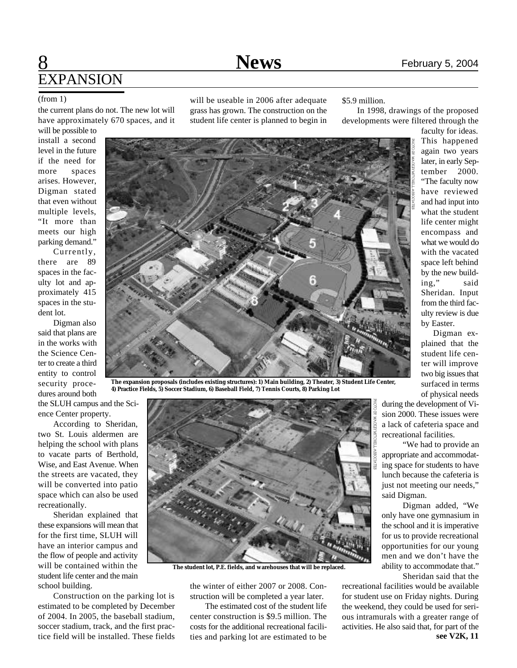## 8 **News** February 5, 2004 **EXPANSION**

#### (from 1)

the current plans do not. The new lot will have approximately 670 spaces, and it

will be possible to install a second level in the future if the need for more spaces arises. However, Digman stated that even without multiple levels, "It more than meets our high parking demand."

Currently, there are 89 spaces in the faculty lot and approximately 415 spaces in the student lot.

Digman also said that plans are in the works with the Science Center to create a third entity to control security procedures around both

the SLUH campus and the Science Center property.

According to Sheridan, two St. Louis aldermen are helping the school with plans to vacate parts of Berthold, Wise, and East Avenue. When the streets are vacated, they will be converted into patio space which can also be used recreationally.

Sheridan explained that these expansions will mean that for the first time, SLUH will have an interior campus and the flow of people and activity will be contained within the student life center and the main school building.

Construction on the parking lot is estimated to be completed by December of 2004. In 2005, the baseball stadium, soccer stadium, track, and the first practice field will be installed. These fields

will be useable in 2006 after adequate grass has grown. The construction on the student life center is planned to begin in

#### \$5.9 million.

In 1998, drawings of the proposed developments were filtered through the



**The expansion proposals (includes existing structures): 1) Main building, 2) Theater, 3) Student Life Center, 4) Practice Fields, 5) Soccer Stadium, 6) Baseball Field, 7) Tennis Courts, 8) Parking Lot**



**The student lot, P.E. fields, and warehouses that will be replaced.**

the winter of either 2007 or 2008. Construction will be completed a year later.

The estimated cost of the student life center construction is \$9.5 million. The costs for the additional recreational facilities and parking lot are estimated to be again two years later, in early September 2000. "The faculty now have reviewed and had input into what the student life center might encompass and what we would do with the vacated space left behind by the new building," said Sheridan. Input from the third faculty review is due by Easter.

Digman explained that the student life center will improve two big issues that surfaced in terms of physical needs

during the development of Vision 2000. These issues were a lack of cafeteria space and recreational facilities.

"We had to provide an appropriate and accommodating space for students to have lunch because the cafeteria is just not meeting our needs," said Digman.

Digman added, "We only have one gymnasium in the school and it is imperative for us to provide recreational opportunities for our young men and we don't have the ability to accommodate that." Sheridan said that the

recreational facilities would be available for student use on Friday nights. During the weekend, they could be used for serious intramurals with a greater range of activities. He also said that, for part of the **see V2K, 11**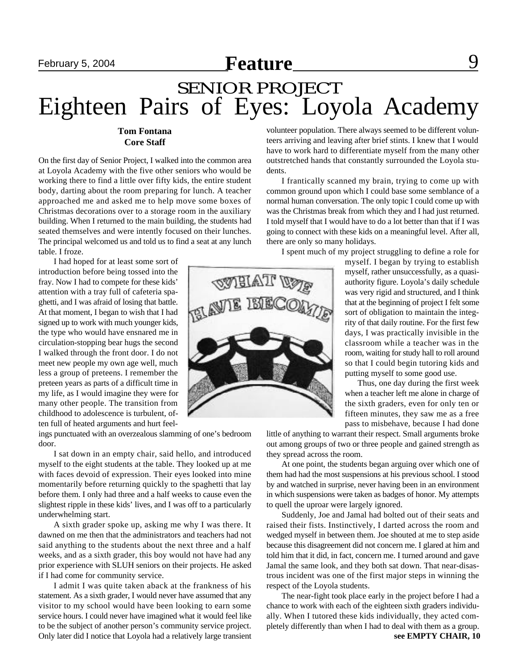## **February 5, 2004 Feature Neature Propose 8 9**

## SENIOR PROJECT Eighteen Pairs of Eyes: Loyola Academy

### **Tom Fontana Core Staff**

On the first day of Senior Project, I walked into the common area at Loyola Academy with the five other seniors who would be working there to find a little over fifty kids, the entire student body, darting about the room preparing for lunch. A teacher approached me and asked me to help move some boxes of Christmas decorations over to a storage room in the auxiliary building. When I returned to the main building, the students had seated themselves and were intently focused on their lunches. The principal welcomed us and told us to find a seat at any lunch table. I froze.

I had hoped for at least some sort of introduction before being tossed into the fray. Now I had to compete for these kids' attention with a tray full of cafeteria spaghetti, and I was afraid of losing that battle. At that moment, I began to wish that I had signed up to work with much younger kids, the type who would have ensnared me in circulation-stopping bear hugs the second I walked through the front door. I do not meet new people my own age well, much less a group of preteens. I remember the preteen years as parts of a difficult time in my life, as I would imagine they were for many other people. The transition from childhood to adolescence is turbulent, often full of heated arguments and hurt feel-

ings punctuated with an overzealous slamming of one's bedroom door.

I sat down in an empty chair, said hello, and introduced myself to the eight students at the table. They looked up at me with faces devoid of expression. Their eyes looked into mine momentarily before returning quickly to the spaghetti that lay before them. I only had three and a half weeks to cause even the slightest ripple in these kids' lives, and I was off to a particularly underwhelming start.

A sixth grader spoke up, asking me why I was there. It dawned on me then that the administrators and teachers had not said anything to the students about the next three and a half weeks, and as a sixth grader, this boy would not have had any prior experience with SLUH seniors on their projects. He asked if I had come for community service.

I admit I was quite taken aback at the frankness of his statement. As a sixth grader, I would never have assumed that any visitor to my school would have been looking to earn some service hours. I could never have imagined what it would feel like to be the subject of another person's community service project. Only later did I notice that Loyola had a relatively large transient

volunteer population. There always seemed to be different volunteers arriving and leaving after brief stints. I knew that I would have to work hard to differentiate myself from the many other outstretched hands that constantly surrounded the Loyola students.

I frantically scanned my brain, trying to come up with common ground upon which I could base some semblance of a normal human conversation. The only topic I could come up with was the Christmas break from which they and I had just returned. I told myself that I would have to do a lot better than that if I was going to connect with these kids on a meaningful level. After all, there are only so many holidays.

I spent much of my project struggling to define a role for

myself. I began by trying to establish myself, rather unsuccessfully, as a quasiauthority figure. Loyola's daily schedule was very rigid and structured, and I think that at the beginning of project I felt some sort of obligation to maintain the integrity of that daily routine. For the first few days, I was practically invisible in the classroom while a teacher was in the room, waiting for study hall to roll around so that I could begin tutoring kids and putting myself to some good use.

Thus, one day during the first week when a teacher left me alone in charge of the sixth graders, even for only ten or fifteen minutes, they saw me as a free pass to misbehave, because I had done

little of anything to warrant their respect. Small arguments broke out among groups of two or three people and gained strength as they spread across the room.

At one point, the students began arguing over which one of them had had the most suspensions at his previous school. I stood by and watched in surprise, never having been in an environment in which suspensions were taken as badges of honor. My attempts to quell the uproar were largely ignored.

Suddenly, Joe and Jamal had bolted out of their seats and raised their fists. Instinctively, I darted across the room and wedged myself in between them. Joe shouted at me to step aside because this disagreement did not concern me. I glared at him and told him that it did, in fact, concern me. I turned around and gave Jamal the same look, and they both sat down. That near-disastrous incident was one of the first major steps in winning the respect of the Loyola students.

The near-fight took place early in the project before I had a chance to work with each of the eighteen sixth graders individually. When I tutored these kids individually, they acted completely differently than when I had to deal with them as a group.

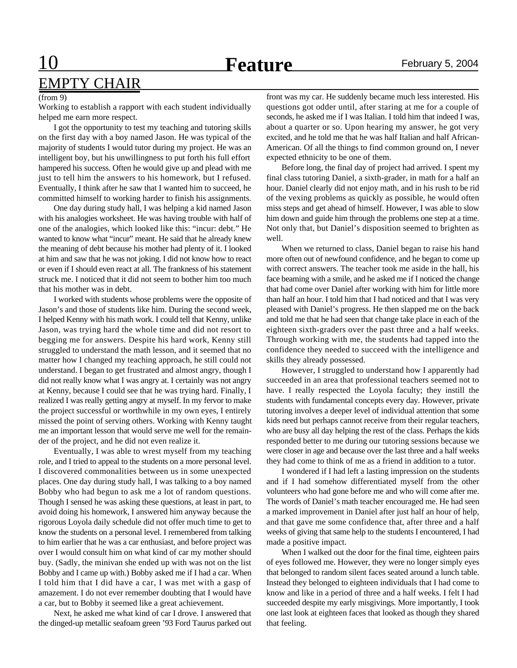## 10 **Feature** February 5, 2004 EMPTY CHAIR

#### (from 9)

Working to establish a rapport with each student individually helped me earn more respect.

I got the opportunity to test my teaching and tutoring skills on the first day with a boy named Jason. He was typical of the majority of students I would tutor during my project. He was an intelligent boy, but his unwillingness to put forth his full effort hampered his success. Often he would give up and plead with me just to tell him the answers to his homework, but I refused. Eventually, I think after he saw that I wanted him to succeed, he committed himself to working harder to finish his assignments.

One day during study hall, I was helping a kid named Jason with his analogies worksheet. He was having trouble with half of one of the analogies, which looked like this: "incur: debt." He wanted to know what "incur" meant. He said that he already knew the meaning of debt because his mother had plenty of it. I looked at him and saw that he was not joking. I did not know how to react or even if I should even react at all. The frankness of his statement struck me. I noticed that it did not seem to bother him too much that his mother was in debt.

I worked with students whose problems were the opposite of Jason's and those of students like him. During the second week, I helped Kenny with his math work. I could tell that Kenny, unlike Jason, was trying hard the whole time and did not resort to begging me for answers. Despite his hard work, Kenny still struggled to understand the math lesson, and it seemed that no matter how I changed my teaching approach, he still could not understand. I began to get frustrated and almost angry, though I did not really know what I was angry at. I certainly was not angry at Kenny, because I could see that he was trying hard. Finally, I realized I was really getting angry at myself. In my fervor to make the project successful or worthwhile in my own eyes, I entirely missed the point of serving others. Working with Kenny taught me an important lesson that would serve me well for the remainder of the project, and he did not even realize it.

Eventually, I was able to wrest myself from my teaching role, and I tried to appeal to the students on a more personal level. I discovered commonalities between us in some unexpected places. One day during study hall, I was talking to a boy named Bobby who had begun to ask me a lot of random questions. Though I sensed he was asking these questions, at least in part, to avoid doing his homework, I answered him anyway because the rigorous Loyola daily schedule did not offer much time to get to know the students on a personal level. I remembered from talking to him earlier that he was a car enthusiast, and before project was over I would consult him on what kind of car my mother should buy. (Sadly, the minivan she ended up with was not on the list Bobby and I came up with.) Bobby asked me if I had a car. When I told him that I did have a car, I was met with a gasp of amazement. I do not ever remember doubting that I would have a car, but to Bobby it seemed like a great achievement.

Next, he asked me what kind of car I drove. I answered that the dinged-up metallic seafoam green '93 Ford Taurus parked out front was my car. He suddenly became much less interested. His questions got odder until, after staring at me for a couple of seconds, he asked me if I was Italian. I told him that indeed I was, about a quarter or so. Upon hearing my answer, he got very excited, and he told me that he was half Italian and half African-American. Of all the things to find common ground on, I never expected ethnicity to be one of them.

Before long, the final day of project had arrived. I spent my final class tutoring Daniel, a sixth-grader, in math for a half an hour. Daniel clearly did not enjoy math, and in his rush to be rid of the vexing problems as quickly as possible, he would often miss steps and get ahead of himself. However, I was able to slow him down and guide him through the problems one step at a time. Not only that, but Daniel's disposition seemed to brighten as well.

When we returned to class, Daniel began to raise his hand more often out of newfound confidence, and he began to come up with correct answers. The teacher took me aside in the hall, his face beaming with a smile, and he asked me if I noticed the change that had come over Daniel after working with him for little more than half an hour. I told him that I had noticed and that I was very pleased with Daniel's progress. He then slapped me on the back and told me that he had seen that change take place in each of the eighteen sixth-graders over the past three and a half weeks. Through working with me, the students had tapped into the confidence they needed to succeed with the intelligence and skills they already possessed.

However, I struggled to understand how I apparently had succeeded in an area that professional teachers seemed not to have. I really respected the Loyola faculty; they instill the students with fundamental concepts every day. However, private tutoring involves a deeper level of individual attention that some kids need but perhaps cannot receive from their regular teachers, who are busy all day helping the rest of the class. Perhaps the kids responded better to me during our tutoring sessions because we were closer in age and because over the last three and a half weeks they had come to think of me as a friend in addition to a tutor.

I wondered if I had left a lasting impression on the students and if I had somehow differentiated myself from the other volunteers who had gone before me and who will come after me. The words of Daniel's math teacher encouraged me. He had seen a marked improvement in Daniel after just half an hour of help, and that gave me some confidence that, after three and a half weeks of giving that same help to the students I encountered, I had made a positive impact.

When I walked out the door for the final time, eighteen pairs of eyes followed me. However, they were no longer simply eyes that belonged to random silent faces seated around a lunch table. Instead they belonged to eighteen individuals that I had come to know and like in a period of three and a half weeks. I felt I had succeeded despite my early misgivings. More importantly, I took one last look at eighteen faces that looked as though they shared that feeling.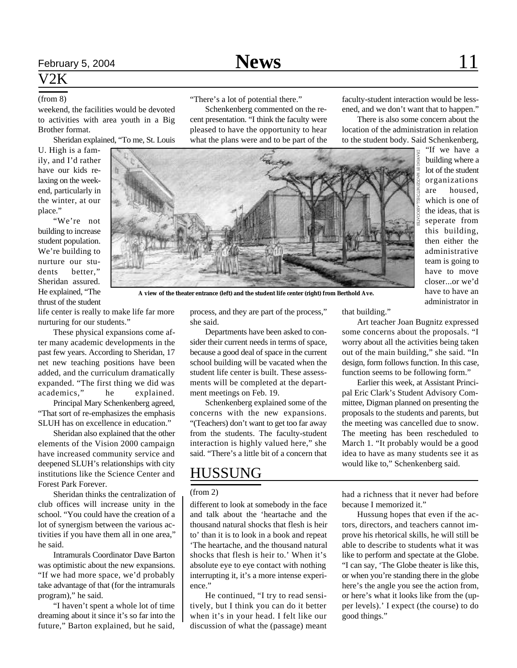## V2K

weekend, the facilities would be devoted to activities with area youth in a Big Brother format.

Sheridan explained, "To me, St. Louis

U. High is a family, and I'd rather have our kids relaxing on the weekend, particularly in the winter, at our place."

"We're not building to increase student population. We're building to nurture our students better," Sheridan assured. He explained, "The thrust of the student

(from 8) "There's a lot of potential there."

Schenkenberg commented on the recent presentation. "I think the faculty were pleased to have the opportunity to hear what the plans were and to be part of the

faculty-student interaction would be lessened, and we don't want that to happen."

There is also some concern about the location of the administration in relation to the student body. Said Schenkenberg,

"If we have a building where a lot of the student organizations are housed, which is one of the ideas, that is seperate from this building, then either the administrative team is going to have to move closer...or we'd have to have an administrator in



**A view of the theater entrance (left) and the student life center (right) from Berthold Ave.**

life center is really to make life far more nurturing for our students."

These physical expansions come after many academic developments in the past few years. According to Sheridan, 17 net new teaching positions have been added, and the curriculum dramatically expanded. "The first thing we did was academics," he explained.

Principal Mary Schenkenberg agreed, "That sort of re-emphasizes the emphasis SLUH has on excellence in education."

Sheridan also explained that the other elements of the Vision 2000 campaign have increased community service and deepened SLUH's relationships with city institutions like the Science Center and Forest Park Forever.

Sheridan thinks the centralization of club offices will increase unity in the school. "You could have the creation of a lot of synergism between the various activities if you have them all in one area," he said.

Intramurals Coordinator Dave Barton was optimistic about the new expansions. "If we had more space, we'd probably take advantage of that (for the intramurals program)," he said.

"I haven't spent a whole lot of time dreaming about it since it's so far into the future," Barton explained, but he said,

process, and they are part of the process," she said.

Departments have been asked to consider their current needs in terms of space, because a good deal of space in the current school building will be vacated when the student life center is built. These assessments will be completed at the department meetings on Feb. 19.

Schenkenberg explained some of the concerns with the new expansions. "(Teachers) don't want to get too far away from the students. The faculty-student interaction is highly valued here," she said. "There's a little bit of a concern that

## HUSSUNG

#### (from 2)

different to look at somebody in the face and talk about the 'heartache and the thousand natural shocks that flesh is heir to' than it is to look in a book and repeat 'The heartache, and the thousand natural shocks that flesh is heir to.' When it's absolute eye to eye contact with nothing interrupting it, it's a more intense experience."

He continued, "I try to read sensitively, but I think you can do it better when it's in your head. I felt like our discussion of what the (passage) meant that building."

Art teacher Joan Bugnitz expressed some concerns about the proposals. "I worry about all the activities being taken out of the main building," she said. "In design, form follows function. In this case, function seems to be following form."

Earlier this week, at Assistant Principal Eric Clark's Student Advisory Committee, Digman planned on presenting the proposals to the students and parents, but the meeting was cancelled due to snow. The meeting has been rescheduled to March 1. "It probably would be a good idea to have as many students see it as would like to," Schenkenberg said.

had a richness that it never had before because I memorized it."

Hussung hopes that even if the actors, directors, and teachers cannot improve his rhetorical skills, he will still be able to describe to students what it was like to perform and spectate at the Globe. "I can say, 'The Globe theater is like this, or when you're standing there in the globe here's the angle you see the action from, or here's what it looks like from the (upper levels).' I expect (the course) to do good things."